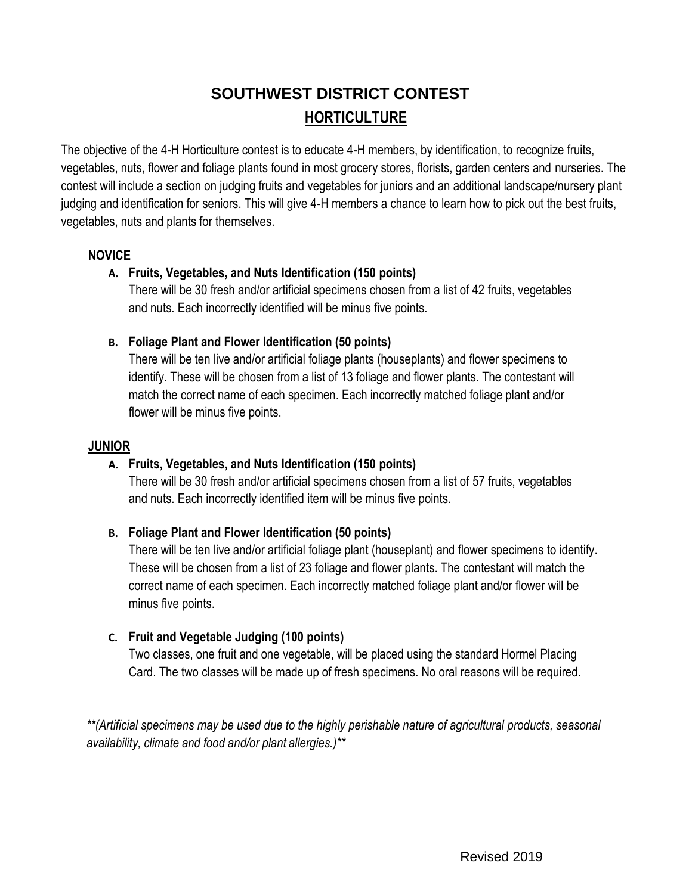# **SOUTHWEST DISTRICT CONTEST HORTICULTURE**

The objective of the 4-H Horticulture contest is to educate 4-H members, by identification, to recognize fruits, vegetables, nuts, flower and foliage plants found in most grocery stores, florists, garden centers and nurseries. The contest will include a section on judging fruits and vegetables for juniors and an additional landscape/nursery plant judging and identification for seniors. This will give 4-H members a chance to learn how to pick out the best fruits, vegetables, nuts and plants for themselves.

#### **NOVICE**

#### **A. Fruits, Vegetables, and Nuts Identification (150 points)**

There will be 30 fresh and/or artificial specimens chosen from a list of 42 fruits, vegetables and nuts. Each incorrectly identified will be minus five points.

#### **B. Foliage Plant and Flower Identification (50 points)**

There will be ten live and/or artificial foliage plants (houseplants) and flower specimens to identify. These will be chosen from a list of 13 foliage and flower plants. The contestant will match the correct name of each specimen. Each incorrectly matched foliage plant and/or flower will be minus five points.

#### **JUNIOR**

#### **A. Fruits, Vegetables, and Nuts Identification (150 points)**

There will be 30 fresh and/or artificial specimens chosen from a list of 57 fruits, vegetables and nuts. Each incorrectly identified item will be minus five points.

#### **B. Foliage Plant and Flower Identification (50 points)**

There will be ten live and/or artificial foliage plant (houseplant) and flower specimens to identify. These will be chosen from a list of 23 foliage and flower plants. The contestant will match the correct name of each specimen. Each incorrectly matched foliage plant and/or flower will be minus five points.

#### **C. Fruit and Vegetable Judging (100 points)**

Two classes, one fruit and one vegetable, will be placed using the standard Hormel Placing Card. The two classes will be made up of fresh specimens. No oral reasons will be required.

*\*\*(Artificial specimens may be used due to the highly perishable nature of agricultural products, seasonal availability, climate and food and/or plant allergies.)\*\**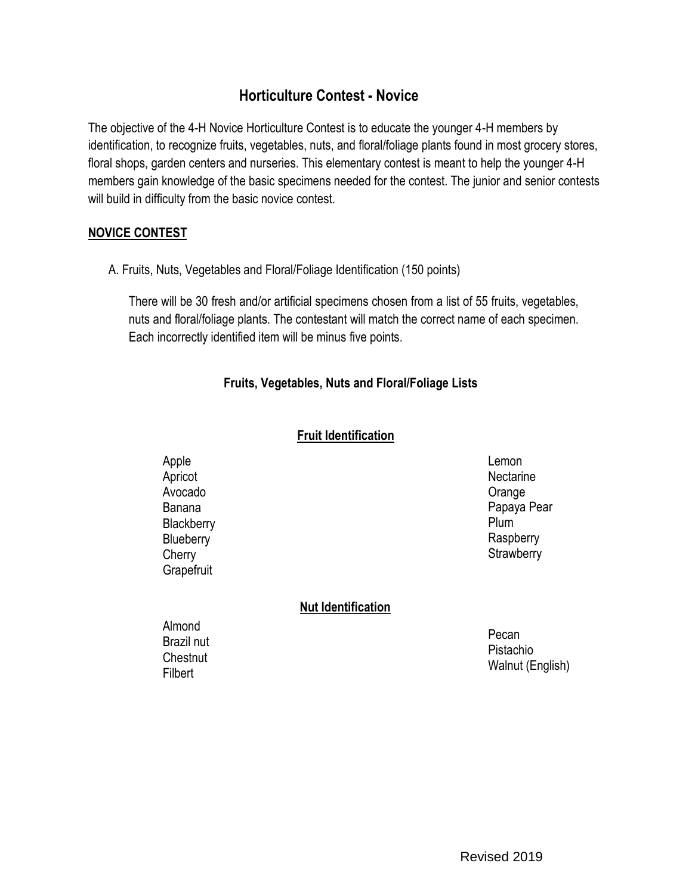### **Horticulture Contest - Novice**

The objective of the 4-H Novice Horticulture Contest is to educate the younger 4-H members by identification, to recognize fruits, vegetables, nuts, and floral/foliage plants found in most grocery stores, floral shops, garden centers and nurseries. This elementary contest is meant to help the younger 4-H members gain knowledge of the basic specimens needed for the contest. The junior and senior contests will build in difficulty from the basic novice contest.

#### **NOVICE CONTEST**

A. Fruits, Nuts, Vegetables and Floral/Foliage Identification (150 points)

There will be 30 fresh and/or artificial specimens chosen from a list of 55 fruits, vegetables, nuts and floral/foliage plants. The contestant will match the correct name of each specimen. Each incorrectly identified item will be minus five points.

#### **Fruits, Vegetables, Nuts and Floral/Foliage Lists**

#### **Fruit Identification**

Apple Apricot Avocado Banana **Blackberry Blueberry Cherry Grapefruit** 

Lemon **Nectarine** Orange Papaya Pear Plum **Raspberry Strawberry** 

#### **Nut Identification**

Almond Brazil nut Chestnut **Filbert** 

Pecan Pistachio Walnut (English)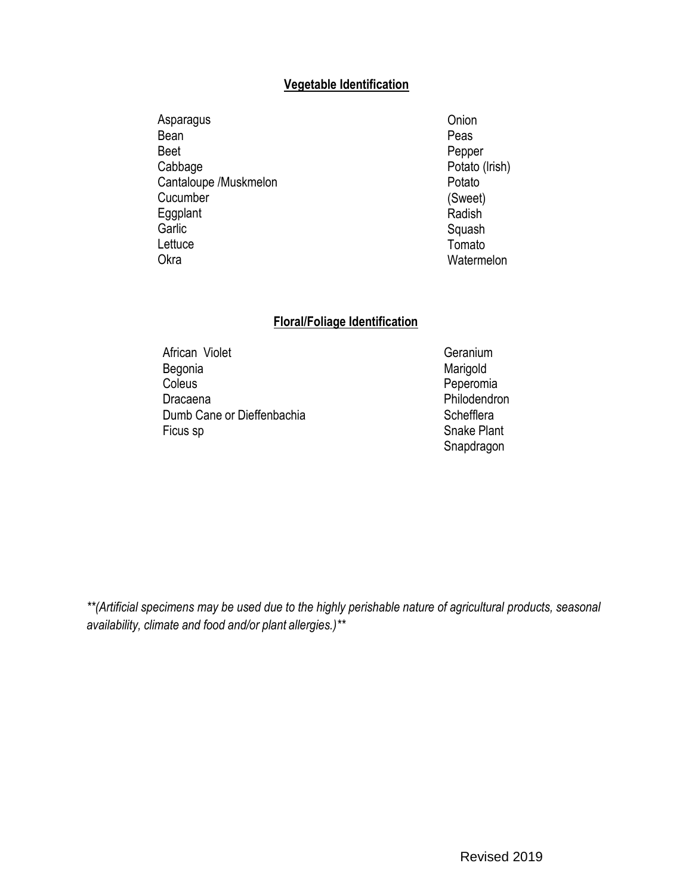#### **Vegetable Identification**

Asparagus Bean Beet Cabbage Cantaloupe /Muskmelon **Cucumber** Eggplant **Garlic Lettuce** Okra

**Onion** Peas Pepper Potato (lrish) Potato (Sweet) Radish Squash Tomato **Watermelon** 

#### **Floral/Foliage Identification**

African Violet **Geranium** Begonia Marigold Coleus **Coleus Peperomia** Dracaena **Philodendron** Dumb Cane or Dieffenbachia Schefflera Ficus sp Snake Plant

Snapdragon

*\*\*(Artificial specimens may be used due to the highly perishable nature of agricultural products, seasonal availability, climate and food and/or plant allergies.)\*\**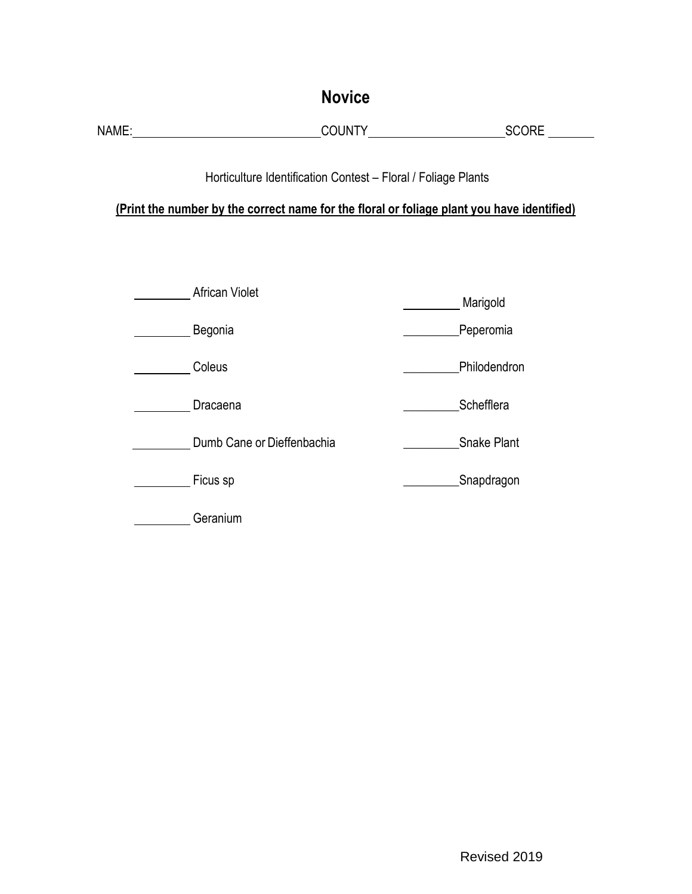| <b>Novice</b>                                                                                                                                               |                            |  |                       |  |  |  |
|-------------------------------------------------------------------------------------------------------------------------------------------------------------|----------------------------|--|-----------------------|--|--|--|
|                                                                                                                                                             |                            |  |                       |  |  |  |
| Horticulture Identification Contest - Floral / Foliage Plants<br>(Print the number by the correct name for the floral or foliage plant you have identified) |                            |  |                       |  |  |  |
|                                                                                                                                                             | African Violet<br>Begonia  |  | Marigold<br>Peperomia |  |  |  |
|                                                                                                                                                             | Coleus                     |  | Philodendron          |  |  |  |
|                                                                                                                                                             | Dracaena                   |  | Schefflera            |  |  |  |
|                                                                                                                                                             | Dumb Cane or Dieffenbachia |  | Snake Plant           |  |  |  |
|                                                                                                                                                             | _ Ficus sp                 |  | Snapdragon            |  |  |  |
|                                                                                                                                                             | Geranium                   |  |                       |  |  |  |

l,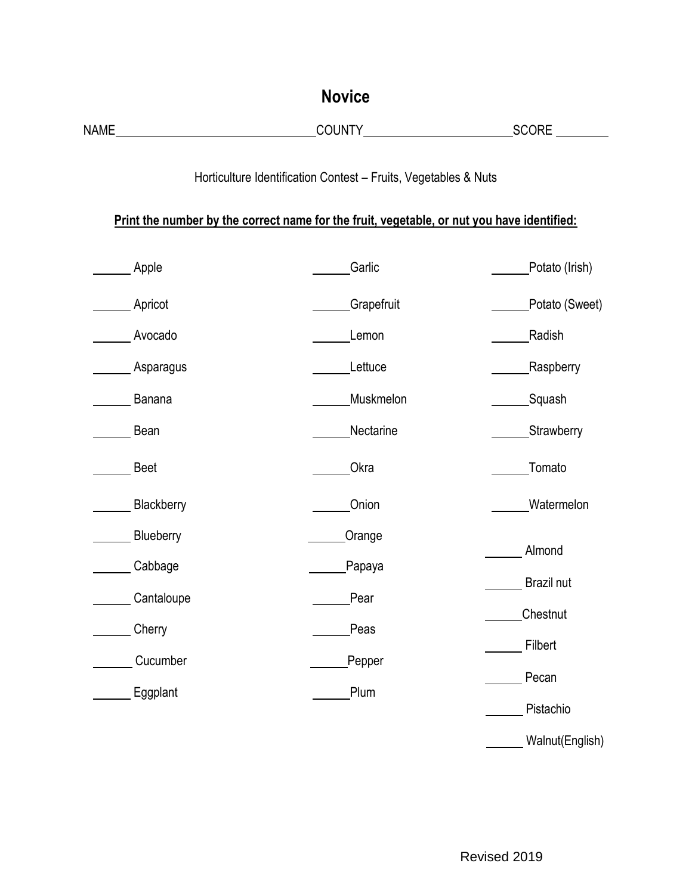| <b>Novice</b>                                                                                                                                                                                                                  |                                                                                                                                                               |                              |  |  |  |  |
|--------------------------------------------------------------------------------------------------------------------------------------------------------------------------------------------------------------------------------|---------------------------------------------------------------------------------------------------------------------------------------------------------------|------------------------------|--|--|--|--|
| NAME And the second contract of the second contract of the second contract of the second contract of the second contract of the second contract of the second contract of the second contract of the second contract of the se |                                                                                                                                                               |                              |  |  |  |  |
|                                                                                                                                                                                                                                | Horticulture Identification Contest - Fruits, Vegetables & Nuts<br>Print the number by the correct name for the fruit, vegetable, or nut you have identified: |                              |  |  |  |  |
| Apple                                                                                                                                                                                                                          | Garlic                                                                                                                                                        | Potato (Irish)               |  |  |  |  |
| _Apricot                                                                                                                                                                                                                       | Grapefruit                                                                                                                                                    | Potato (Sweet)               |  |  |  |  |
| Avocado                                                                                                                                                                                                                        | Lemon                                                                                                                                                         | Radish                       |  |  |  |  |
| Asparagus                                                                                                                                                                                                                      | Lettuce                                                                                                                                                       | Raspberry                    |  |  |  |  |
| Banana                                                                                                                                                                                                                         | Muskmelon                                                                                                                                                     | Squash                       |  |  |  |  |
| Bean                                                                                                                                                                                                                           | Nectarine                                                                                                                                                     | Strawberry                   |  |  |  |  |
| <b>Beet</b>                                                                                                                                                                                                                    | Okra                                                                                                                                                          | Tomato                       |  |  |  |  |
| Blackberry                                                                                                                                                                                                                     | Onion                                                                                                                                                         | Watermelon                   |  |  |  |  |
| Blueberry<br>Cabbage                                                                                                                                                                                                           | Orange<br>Papaya                                                                                                                                              | Almond                       |  |  |  |  |
| Cantaloupe                                                                                                                                                                                                                     | Pear                                                                                                                                                          | Brazil nut<br>Chestnut       |  |  |  |  |
| Cherry                                                                                                                                                                                                                         | Peas                                                                                                                                                          | Filbert                      |  |  |  |  |
| Cucumber<br>Eggplant                                                                                                                                                                                                           | Pepper<br>Plum                                                                                                                                                | Pecan                        |  |  |  |  |
|                                                                                                                                                                                                                                |                                                                                                                                                               | Pistachio<br>Walnut(English) |  |  |  |  |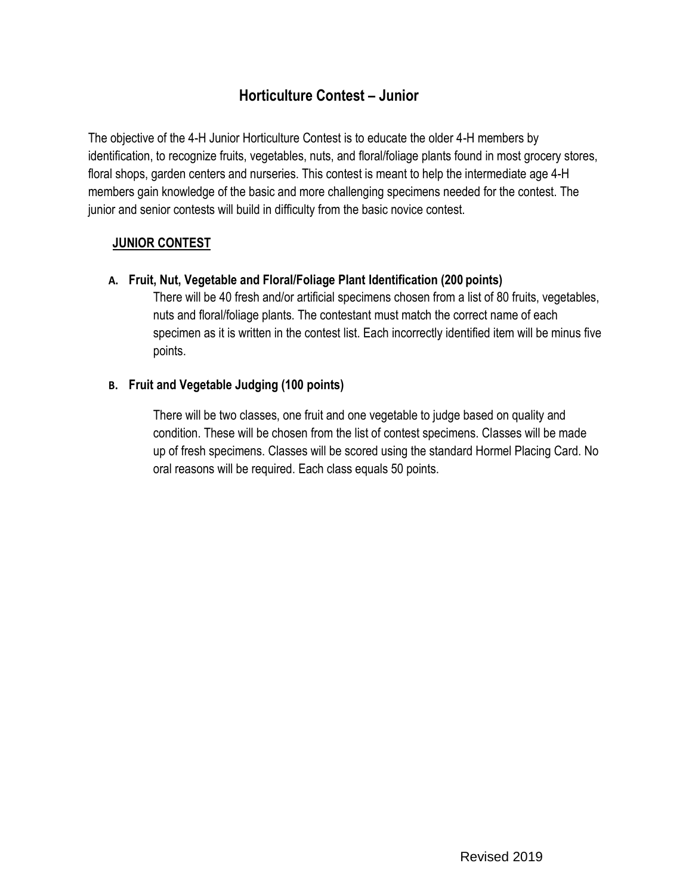# **Horticulture Contest – Junior**

The objective of the 4-H Junior Horticulture Contest is to educate the older 4-H members by identification, to recognize fruits, vegetables, nuts, and floral/foliage plants found in most grocery stores, floral shops, garden centers and nurseries. This contest is meant to help the intermediate age 4-H members gain knowledge of the basic and more challenging specimens needed for the contest. The junior and senior contests will build in difficulty from the basic novice contest.

#### **JUNIOR CONTEST**

**A. Fruit, Nut, Vegetable and Floral/Foliage Plant Identification (200 points)**

There will be 40 fresh and/or artificial specimens chosen from a list of 80 fruits, vegetables, nuts and floral/foliage plants. The contestant must match the correct name of each specimen as it is written in the contest list. Each incorrectly identified item will be minus five points.

#### **B. Fruit and Vegetable Judging (100 points)**

There will be two classes, one fruit and one vegetable to judge based on quality and condition. These will be chosen from the list of contest specimens. Classes will be made up of fresh specimens. Classes will be scored using the standard Hormel Placing Card. No oral reasons will be required. Each class equals 50 points.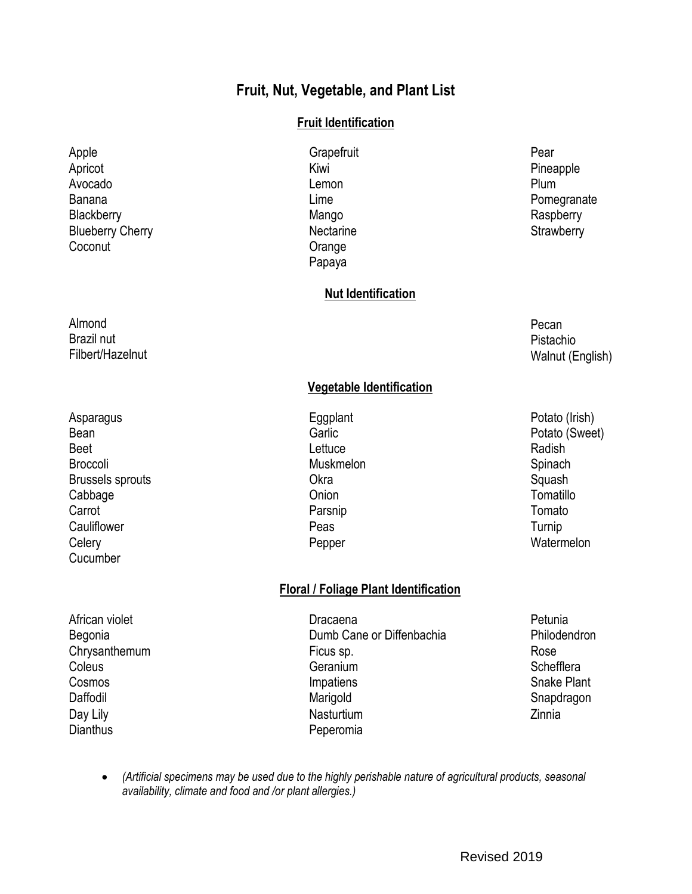# **Fruit, Nut, Vegetable, and Plant List**

#### **Fruit Identification**

Apple **Apple Access Access** Crapefruit **Contract Access Access Access Access** Pear Apricot **Apricot** Christian Millet Research Millet Research Millet Pineapple Pineapple Avocado Lemon Plum Blackberry **Blackberry Raspberry** Mango **Mango** Raspberry **Nectarine Orange** Papaya

# Banana **Diversion Community** Lime **Community** Lime **Community** Pomegranate **Strawberry**

Pecan Pistachio Walnut (English)

#### **Vegetable Identification**

**Nut Identification**

Pepper Watermelon

Day Lily **Dianthus** 

African violet **Dracaena** Dracaena **Dracaena** Petunia Begonia **Dumb Cane or Diffenbachia** Philodendron Chrysanthemum **Ficus sp.** Ficus sp. Rose Coleus **Geranium** Geranium Coleus Schefflera Cosmos Cosmos Cosmos Cosmos Cosmos Cosmos Cosmos Cosmos Cosmos Cosmos Cosmos Cosmos Cosmos Cosmos Cosmos Cosmo Daffodil Snapdragon Narigold Snapdragon Snapdragon **Nasturtium** Peperomia

**Floral / Foliage Plant Identification**

- Zinnia
- *(Artificial specimens may be used due to the highly perishable nature of agricultural products, seasonal availability, climate and food and /or plant allergies.)*
	- Revised 2019

Blueberry Cherry

**Coconut** 

- Asparagus **Asparagus Eggplant** Eggplant **Potato (Irish)** Bean Garlic Garlic Communication Control of the Garlic Potato (Sweet) Beet **Radish Beet Radish CONS** Broccoli Muskmelon Spinach Brussels sprouts and the control of the Care of China Care of the Cabbage Squash<br>Cabbage Cabbage Cabbage Cabbage Cabbage Cabbage Cabbage Cabbage Cabbage Cabbage Cabbage Computillo Cabbage **Cabbage Cabbage Cabbage Cabbage Cabbage Cabbage Cabbage Cabbage Cabbage Cabbage Cabbage Cabbage Cabbage Cabbage Cabbage Cabbage Cabbage Cabbage Cabbage Cabbage Cabbage Cab** Carrot **Carrot** Carrot Carrot Carrot Carrot Carrot Carrot Carrot Carrot Carrot Carrot Carrot Carrot Carrot Carrot Carrot Carrot Carrot Carrot Carrot Carrot Carrot Carrot Carrot Carrot Carrot Carrot Carrot Carrot Carrot Car Cauliflower **Cauliflower Peas** Peas **Peas** Turnip **Celery** Cucumber
- Almond Brazil nut Filbert/Hazelnut
-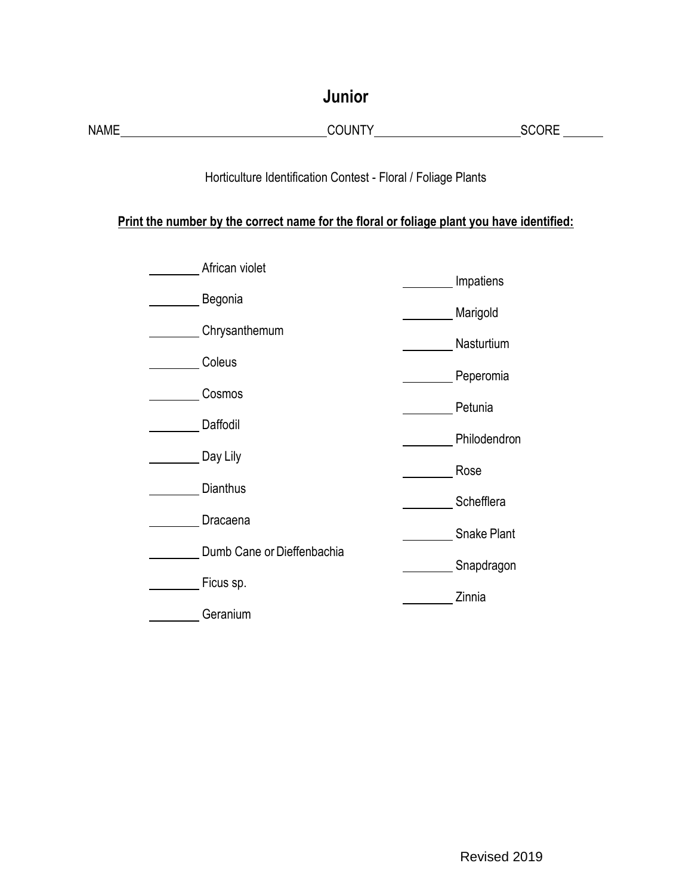| Junior                                                                                                                                                     |                                                                 |                                                           |  |  |  |  |  |
|------------------------------------------------------------------------------------------------------------------------------------------------------------|-----------------------------------------------------------------|-----------------------------------------------------------|--|--|--|--|--|
| NAME                                                                                                                                                       |                                                                 | SCORE                                                     |  |  |  |  |  |
| Horticulture Identification Contest - Floral / Foliage Plants<br>Print the number by the correct name for the floral or foliage plant you have identified: |                                                                 |                                                           |  |  |  |  |  |
|                                                                                                                                                            | African violet                                                  | Impatiens                                                 |  |  |  |  |  |
|                                                                                                                                                            | Begonia                                                         | Marigold                                                  |  |  |  |  |  |
|                                                                                                                                                            | Chrysanthemum<br>Coleus<br><b>Cosmos</b>                        | Nasturtium<br><b>Example 2</b> Peperomia<br>Petunia       |  |  |  |  |  |
|                                                                                                                                                            |                                                                 |                                                           |  |  |  |  |  |
|                                                                                                                                                            |                                                                 |                                                           |  |  |  |  |  |
|                                                                                                                                                            | Daffodil                                                        | Philodendron                                              |  |  |  |  |  |
|                                                                                                                                                            | Day Lily                                                        | Rose<br>Schefflera<br>Snake Plant<br>Snapdragon<br>Zinnia |  |  |  |  |  |
|                                                                                                                                                            | Dianthus<br>Dracaena<br>Dumb Cane or Dieffenbachia<br>Ficus sp. |                                                           |  |  |  |  |  |
|                                                                                                                                                            |                                                                 |                                                           |  |  |  |  |  |
|                                                                                                                                                            |                                                                 |                                                           |  |  |  |  |  |
|                                                                                                                                                            |                                                                 |                                                           |  |  |  |  |  |
|                                                                                                                                                            | Geranium                                                        |                                                           |  |  |  |  |  |